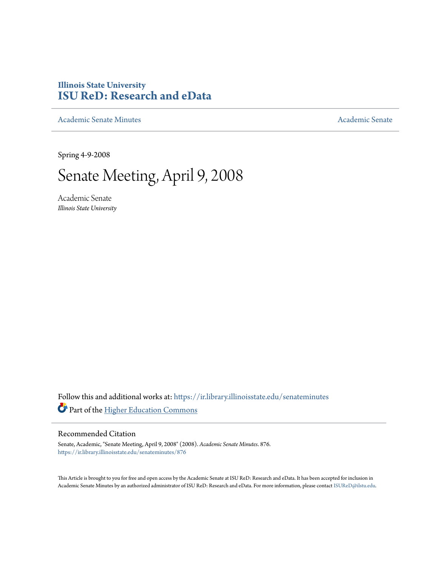# **Illinois State University [ISU ReD: Research and eData](https://ir.library.illinoisstate.edu?utm_source=ir.library.illinoisstate.edu%2Fsenateminutes%2F876&utm_medium=PDF&utm_campaign=PDFCoverPages)**

[Academic Senate Minutes](https://ir.library.illinoisstate.edu/senateminutes?utm_source=ir.library.illinoisstate.edu%2Fsenateminutes%2F876&utm_medium=PDF&utm_campaign=PDFCoverPages) [Academic Senate](https://ir.library.illinoisstate.edu/senate?utm_source=ir.library.illinoisstate.edu%2Fsenateminutes%2F876&utm_medium=PDF&utm_campaign=PDFCoverPages) Academic Senate

Spring 4-9-2008

# Senate Meeting, April 9, 2008

Academic Senate *Illinois State University*

Follow this and additional works at: [https://ir.library.illinoisstate.edu/senateminutes](https://ir.library.illinoisstate.edu/senateminutes?utm_source=ir.library.illinoisstate.edu%2Fsenateminutes%2F876&utm_medium=PDF&utm_campaign=PDFCoverPages) Part of the [Higher Education Commons](http://network.bepress.com/hgg/discipline/1245?utm_source=ir.library.illinoisstate.edu%2Fsenateminutes%2F876&utm_medium=PDF&utm_campaign=PDFCoverPages)

#### Recommended Citation

Senate, Academic, "Senate Meeting, April 9, 2008" (2008). *Academic Senate Minutes*. 876. [https://ir.library.illinoisstate.edu/senateminutes/876](https://ir.library.illinoisstate.edu/senateminutes/876?utm_source=ir.library.illinoisstate.edu%2Fsenateminutes%2F876&utm_medium=PDF&utm_campaign=PDFCoverPages)

This Article is brought to you for free and open access by the Academic Senate at ISU ReD: Research and eData. It has been accepted for inclusion in Academic Senate Minutes by an authorized administrator of ISU ReD: Research and eData. For more information, please contact [ISUReD@ilstu.edu.](mailto:ISUReD@ilstu.edu)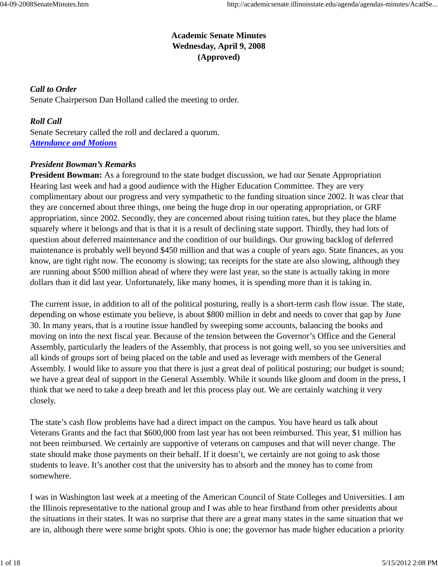# **Academic Senate Minutes Wednesday, April 9, 2008 (Approved)**

*Call to Order* Senate Chairperson Dan Holland called the meeting to order.

*Roll Call* Senate Secretary called the roll and declared a quorum. *Attendance and Motions*

#### *President Bowman's Remarks*

**President Bowman:** As a foreground to the state budget discussion, we had our Senate Appropriation Hearing last week and had a good audience with the Higher Education Committee. They are very complimentary about our progress and very sympathetic to the funding situation since 2002. It was clear that they are concerned about three things, one being the huge drop in our operating appropriation, or GRF appropriation, since 2002. Secondly, they are concerned about rising tuition rates, but they place the blame squarely where it belongs and that is that it is a result of declining state support. Thirdly, they had lots of question about deferred maintenance and the condition of our buildings. Our growing backlog of deferred maintenance is probably well beyond \$450 million and that was a couple of years ago. State finances, as you know, are tight right now. The economy is slowing; tax receipts for the state are also slowing, although they are running about \$500 million ahead of where they were last year, so the state is actually taking in more dollars than it did last year. Unfortunately, like many homes, it is spending more than it is taking in.

The current issue, in addition to all of the political posturing, really is a short-term cash flow issue. The state, depending on whose estimate you believe, is about \$800 million in debt and needs to cover that gap by June 30. In many years, that is a routine issue handled by sweeping some accounts, balancing the books and moving on into the next fiscal year. Because of the tension between the Governor's Office and the General Assembly, particularly the leaders of the Assembly, that process is not going well, so you see universities and all kinds of groups sort of being placed on the table and used as leverage with members of the General Assembly. I would like to assure you that there is just a great deal of political posturing; our budget is sound; we have a great deal of support in the General Assembly. While it sounds like gloom and doom in the press, I think that we need to take a deep breath and let this process play out. We are certainly watching it very closely.

The state's cash flow problems have had a direct impact on the campus. You have heard us talk about Veterans Grants and the fact that \$600,000 from last year has not been reimbursed. This year, \$1 million has not been reimbursed. We certainly are supportive of veterans on campuses and that will never change. The state should make those payments on their behalf. If it doesn't, we certainly are not going to ask those students to leave. It's another cost that the university has to absorb and the money has to come from somewhere.

I was in Washington last week at a meeting of the American Council of State Colleges and Universities. I am the Illinois representative to the national group and I was able to hear firsthand from other presidents about the situations in their states. It was no surprise that there are a great many states in the same situation that we are in, although there were some bright spots. Ohio is one; the governor has made higher education a priority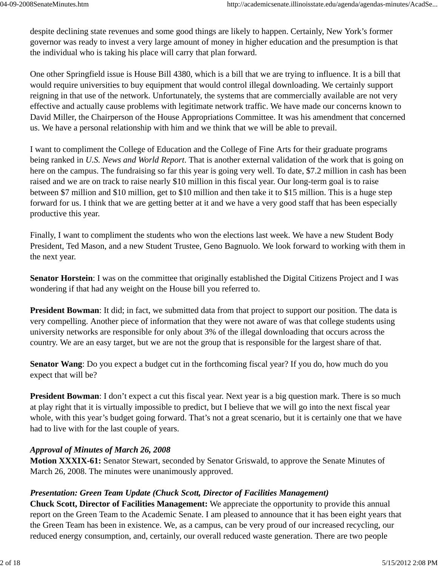despite declining state revenues and some good things are likely to happen. Certainly, New York's former governor was ready to invest a very large amount of money in higher education and the presumption is that the individual who is taking his place will carry that plan forward.

One other Springfield issue is House Bill 4380, which is a bill that we are trying to influence. It is a bill that would require universities to buy equipment that would control illegal downloading. We certainly support reigning in that use of the network. Unfortunately, the systems that are commercially available are not very effective and actually cause problems with legitimate network traffic. We have made our concerns known to David Miller, the Chairperson of the House Appropriations Committee. It was his amendment that concerned us. We have a personal relationship with him and we think that we will be able to prevail.

I want to compliment the College of Education and the College of Fine Arts for their graduate programs being ranked in *U.S. News and World Report*. That is another external validation of the work that is going on here on the campus. The fundraising so far this year is going very well. To date, \$7.2 million in cash has been raised and we are on track to raise nearly \$10 million in this fiscal year. Our long-term goal is to raise between \$7 million and \$10 million, get to \$10 million and then take it to \$15 million. This is a huge step forward for us. I think that we are getting better at it and we have a very good staff that has been especially productive this year.

Finally, I want to compliment the students who won the elections last week. We have a new Student Body President, Ted Mason, and a new Student Trustee, Geno Bagnuolo. We look forward to working with them in the next year.

**Senator Horstein**: I was on the committee that originally established the Digital Citizens Project and I was wondering if that had any weight on the House bill you referred to.

**President Bowman**: It did; in fact, we submitted data from that project to support our position. The data is very compelling. Another piece of information that they were not aware of was that college students using university networks are responsible for only about 3% of the illegal downloading that occurs across the country. We are an easy target, but we are not the group that is responsible for the largest share of that.

**Senator Wang**: Do you expect a budget cut in the forthcoming fiscal year? If you do, how much do you expect that will be?

**President Bowman**: I don't expect a cut this fiscal year. Next year is a big question mark. There is so much at play right that it is virtually impossible to predict, but I believe that we will go into the next fiscal year whole, with this year's budget going forward. That's not a great scenario, but it is certainly one that we have had to live with for the last couple of years.

# *Approval of Minutes of March 26, 2008*

**Motion XXXIX-61:** Senator Stewart, seconded by Senator Griswald, to approve the Senate Minutes of March 26, 2008. The minutes were unanimously approved.

# *Presentation: Green Team Update (Chuck Scott, Director of Facilities Management)*

**Chuck Scott, Director of Facilities Management:** We appreciate the opportunity to provide this annual report on the Green Team to the Academic Senate. I am pleased to announce that it has been eight years that the Green Team has been in existence. We, as a campus, can be very proud of our increased recycling, our reduced energy consumption, and, certainly, our overall reduced waste generation. There are two people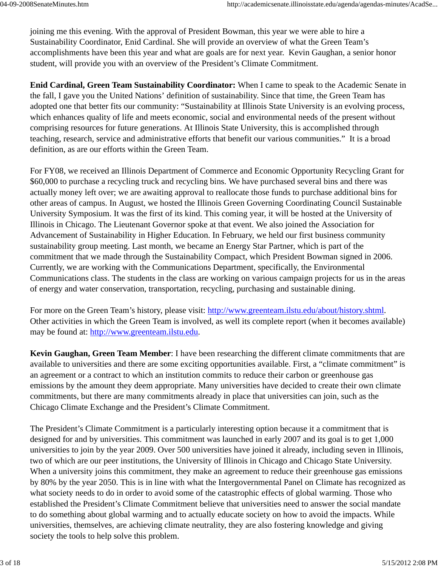joining me this evening. With the approval of President Bowman, this year we were able to hire a Sustainability Coordinator, Enid Cardinal. She will provide an overview of what the Green Team's accomplishments have been this year and what are goals are for next year. Kevin Gaughan, a senior honor student, will provide you with an overview of the President's Climate Commitment.

**Enid Cardinal, Green Team Sustainability Coordinator:** When I came to speak to the Academic Senate in the fall, I gave you the United Nations' definition of sustainability. Since that time, the Green Team has adopted one that better fits our community: "Sustainability at Illinois State University is an evolving process, which enhances quality of life and meets economic, social and environmental needs of the present without comprising resources for future generations. At Illinois State University, this is accomplished through teaching, research, service and administrative efforts that benefit our various communities." It is a broad definition, as are our efforts within the Green Team.

For FY08, we received an Illinois Department of Commerce and Economic Opportunity Recycling Grant for \$60,000 to purchase a recycling truck and recycling bins. We have purchased several bins and there was actually money left over; we are awaiting approval to reallocate those funds to purchase additional bins for other areas of campus. In August, we hosted the Illinois Green Governing Coordinating Council Sustainable University Symposium. It was the first of its kind. This coming year, it will be hosted at the University of Illinois in Chicago. The Lieutenant Governor spoke at that event. We also joined the Association for Advancement of Sustainability in Higher Education. In February, we held our first business community sustainability group meeting. Last month, we became an Energy Star Partner, which is part of the commitment that we made through the Sustainability Compact, which President Bowman signed in 2006. Currently, we are working with the Communications Department, specifically, the Environmental Communications class. The students in the class are working on various campaign projects for us in the areas of energy and water conservation, transportation, recycling, purchasing and sustainable dining.

For more on the Green Team's history, please visit: http://www.greenteam.ilstu.edu/about/history.shtml. Other activities in which the Green Team is involved, as well its complete report (when it becomes available) may be found at: http://www.greenteam.ilstu.edu.

**Kevin Gaughan, Green Team Member**: I have been researching the different climate commitments that are available to universities and there are some exciting opportunities available. First, a "climate commitment" is an agreement or a contract to which an institution commits to reduce their carbon or greenhouse gas emissions by the amount they deem appropriate. Many universities have decided to create their own climate commitments, but there are many commitments already in place that universities can join, such as the Chicago Climate Exchange and the President's Climate Commitment.

The President's Climate Commitment is a particularly interesting option because it a commitment that is designed for and by universities. This commitment was launched in early 2007 and its goal is to get 1,000 universities to join by the year 2009. Over 500 universities have joined it already, including seven in Illinois, two of which are our peer institutions, the University of Illinois in Chicago and Chicago State University. When a university joins this commitment, they make an agreement to reduce their greenhouse gas emissions by 80% by the year 2050. This is in line with what the Intergovernmental Panel on Climate has recognized as what society needs to do in order to avoid some of the catastrophic effects of global warming. Those who established the President's Climate Commitment believe that universities need to answer the social mandate to do something about global warming and to actually educate society on how to avoid the impacts. While universities, themselves, are achieving climate neutrality, they are also fostering knowledge and giving society the tools to help solve this problem.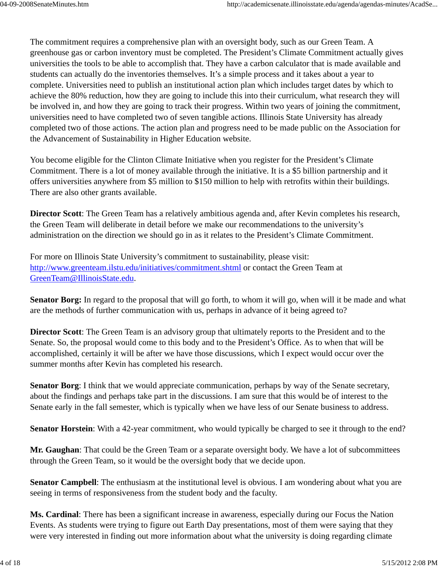The commitment requires a comprehensive plan with an oversight body, such as our Green Team. A greenhouse gas or carbon inventory must be completed. The President's Climate Commitment actually gives universities the tools to be able to accomplish that. They have a carbon calculator that is made available and students can actually do the inventories themselves. It's a simple process and it takes about a year to complete. Universities need to publish an institutional action plan which includes target dates by which to achieve the 80% reduction, how they are going to include this into their curriculum, what research they will be involved in, and how they are going to track their progress. Within two years of joining the commitment, universities need to have completed two of seven tangible actions. Illinois State University has already completed two of those actions. The action plan and progress need to be made public on the Association for the Advancement of Sustainability in Higher Education website.

You become eligible for the Clinton Climate Initiative when you register for the President's Climate Commitment. There is a lot of money available through the initiative. It is a \$5 billion partnership and it offers universities anywhere from \$5 million to \$150 million to help with retrofits within their buildings. There are also other grants available.

**Director Scott**: The Green Team has a relatively ambitious agenda and, after Kevin completes his research, the Green Team will deliberate in detail before we make our recommendations to the university's administration on the direction we should go in as it relates to the President's Climate Commitment.

For more on Illinois State University's commitment to sustainability, please visit: http://www.greenteam.ilstu.edu/initiatives/commitment.shtml or contact the Green Team at GreenTeam@IllinoisState.edu.

**Senator Borg:** In regard to the proposal that will go forth, to whom it will go, when will it be made and what are the methods of further communication with us, perhaps in advance of it being agreed to?

**Director Scott**: The Green Team is an advisory group that ultimately reports to the President and to the Senate. So, the proposal would come to this body and to the President's Office. As to when that will be accomplished, certainly it will be after we have those discussions, which I expect would occur over the summer months after Kevin has completed his research.

**Senator Borg**: I think that we would appreciate communication, perhaps by way of the Senate secretary, about the findings and perhaps take part in the discussions. I am sure that this would be of interest to the Senate early in the fall semester, which is typically when we have less of our Senate business to address.

**Senator Horstein**: With a 42-year commitment, who would typically be charged to see it through to the end?

**Mr. Gaughan**: That could be the Green Team or a separate oversight body. We have a lot of subcommittees through the Green Team, so it would be the oversight body that we decide upon.

**Senator Campbell**: The enthusiasm at the institutional level is obvious. I am wondering about what you are seeing in terms of responsiveness from the student body and the faculty.

**Ms. Cardinal**: There has been a significant increase in awareness, especially during our Focus the Nation Events. As students were trying to figure out Earth Day presentations, most of them were saying that they were very interested in finding out more information about what the university is doing regarding climate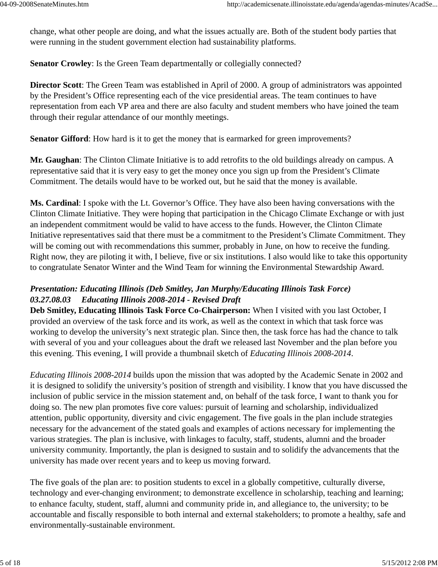change, what other people are doing, and what the issues actually are. Both of the student body parties that were running in the student government election had sustainability platforms.

**Senator Crowley**: Is the Green Team departmentally or collegially connected?

**Director Scott**: The Green Team was established in April of 2000. A group of administrators was appointed by the President's Office representing each of the vice presidential areas. The team continues to have representation from each VP area and there are also faculty and student members who have joined the team through their regular attendance of our monthly meetings.

**Senator Gifford:** How hard is it to get the money that is earmarked for green improvements?

**Mr. Gaughan**: The Clinton Climate Initiative is to add retrofits to the old buildings already on campus. A representative said that it is very easy to get the money once you sign up from the President's Climate Commitment. The details would have to be worked out, but he said that the money is available.

**Ms. Cardinal**: I spoke with the Lt. Governor's Office. They have also been having conversations with the Clinton Climate Initiative. They were hoping that participation in the Chicago Climate Exchange or with just an independent commitment would be valid to have access to the funds. However, the Clinton Climate Initiative representatives said that there must be a commitment to the President's Climate Commitment. They will be coming out with recommendations this summer, probably in June, on how to receive the funding. Right now, they are piloting it with, I believe, five or six institutions. I also would like to take this opportunity to congratulate Senator Winter and the Wind Team for winning the Environmental Stewardship Award.

# *Presentation: Educating Illinois (Deb Smitley, Jan Murphy/Educating Illinois Task Force) 03.27.08.03 Educating Illinois 2008-2014 - Revised Draft*

**Deb Smitley, Educating Illinois Task Force Co-Chairperson:** When I visited with you last October, I provided an overview of the task force and its work, as well as the context in which that task force was working to develop the university's next strategic plan. Since then, the task force has had the chance to talk with several of you and your colleagues about the draft we released last November and the plan before you this evening. This evening, I will provide a thumbnail sketch of *Educating Illinois 2008-2014*.

*Educating Illinois 2008-2014* builds upon the mission that was adopted by the Academic Senate in 2002 and it is designed to solidify the university's position of strength and visibility. I know that you have discussed the inclusion of public service in the mission statement and, on behalf of the task force, I want to thank you for doing so. The new plan promotes five core values: pursuit of learning and scholarship, individualized attention, public opportunity, diversity and civic engagement. The five goals in the plan include strategies necessary for the advancement of the stated goals and examples of actions necessary for implementing the various strategies. The plan is inclusive, with linkages to faculty, staff, students, alumni and the broader university community. Importantly, the plan is designed to sustain and to solidify the advancements that the university has made over recent years and to keep us moving forward.

The five goals of the plan are: to position students to excel in a globally competitive, culturally diverse, technology and ever-changing environment; to demonstrate excellence in scholarship, teaching and learning; to enhance faculty, student, staff, alumni and community pride in, and allegiance to, the university; to be accountable and fiscally responsible to both internal and external stakeholders; to promote a healthy, safe and environmentally-sustainable environment.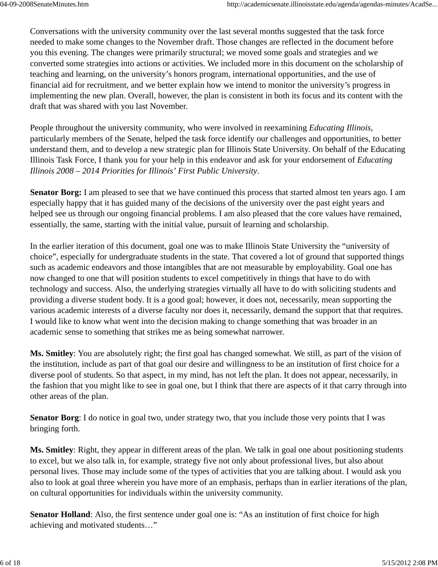Conversations with the university community over the last several months suggested that the task force needed to make some changes to the November draft. Those changes are reflected in the document before you this evening. The changes were primarily structural; we moved some goals and strategies and we converted some strategies into actions or activities. We included more in this document on the scholarship of teaching and learning, on the university's honors program, international opportunities, and the use of financial aid for recruitment, and we better explain how we intend to monitor the university's progress in implementing the new plan. Overall, however, the plan is consistent in both its focus and its content with the draft that was shared with you last November.

People throughout the university community, who were involved in reexamining *Educating Illinois*, particularly members of the Senate, helped the task force identify our challenges and opportunities, to better understand them, and to develop a new strategic plan for Illinois State University. On behalf of the Educating Illinois Task Force, I thank you for your help in this endeavor and ask for your endorsement of *Educating Illinois 2008 – 2014 Priorities for Illinois' First Public University*.

**Senator Borg:** I am pleased to see that we have continued this process that started almost ten years ago. I am especially happy that it has guided many of the decisions of the university over the past eight years and helped see us through our ongoing financial problems. I am also pleased that the core values have remained, essentially, the same, starting with the initial value, pursuit of learning and scholarship.

In the earlier iteration of this document, goal one was to make Illinois State University the "university of choice", especially for undergraduate students in the state. That covered a lot of ground that supported things such as academic endeavors and those intangibles that are not measurable by employability. Goal one has now changed to one that will position students to excel competitively in things that have to do with technology and success. Also, the underlying strategies virtually all have to do with soliciting students and providing a diverse student body. It is a good goal; however, it does not, necessarily, mean supporting the various academic interests of a diverse faculty nor does it, necessarily, demand the support that that requires. I would like to know what went into the decision making to change something that was broader in an academic sense to something that strikes me as being somewhat narrower.

**Ms. Smitley**: You are absolutely right; the first goal has changed somewhat. We still, as part of the vision of the institution, include as part of that goal our desire and willingness to be an institution of first choice for a diverse pool of students. So that aspect, in my mind, has not left the plan. It does not appear, necessarily, in the fashion that you might like to see in goal one, but I think that there are aspects of it that carry through into other areas of the plan.

**Senator Borg**: I do notice in goal two, under strategy two, that you include those very points that I was bringing forth.

**Ms. Smitley**: Right, they appear in different areas of the plan. We talk in goal one about positioning students to excel, but we also talk in, for example, strategy five not only about professional lives, but also about personal lives. Those may include some of the types of activities that you are talking about. I would ask you also to look at goal three wherein you have more of an emphasis, perhaps than in earlier iterations of the plan, on cultural opportunities for individuals within the university community.

**Senator Holland**: Also, the first sentence under goal one is: "As an institution of first choice for high achieving and motivated students…"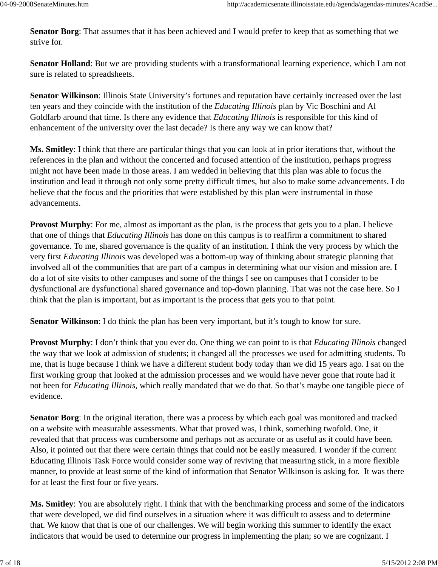**Senator Borg**: That assumes that it has been achieved and I would prefer to keep that as something that we strive for.

**Senator Holland**: But we are providing students with a transformational learning experience, which I am not sure is related to spreadsheets.

**Senator Wilkinson**: Illinois State University's fortunes and reputation have certainly increased over the last ten years and they coincide with the institution of the *Educating Illinois* plan by Vic Boschini and Al Goldfarb around that time. Is there any evidence that *Educating Illinois* is responsible for this kind of enhancement of the university over the last decade? Is there any way we can know that?

**Ms. Smitley**: I think that there are particular things that you can look at in prior iterations that, without the references in the plan and without the concerted and focused attention of the institution, perhaps progress might not have been made in those areas. I am wedded in believing that this plan was able to focus the institution and lead it through not only some pretty difficult times, but also to make some advancements. I do believe that the focus and the priorities that were established by this plan were instrumental in those advancements.

**Provost Murphy**: For me, almost as important as the plan, is the process that gets you to a plan. I believe that one of things that *Educating Illinois* has done on this campus is to reaffirm a commitment to shared governance. To me, shared governance is the quality of an institution. I think the very process by which the very first *Educating Illinois* was developed was a bottom-up way of thinking about strategic planning that involved all of the communities that are part of a campus in determining what our vision and mission are. I do a lot of site visits to other campuses and some of the things I see on campuses that I consider to be dysfunctional are dysfunctional shared governance and top-down planning. That was not the case here. So I think that the plan is important, but as important is the process that gets you to that point.

**Senator Wilkinson**: I do think the plan has been very important, but it's tough to know for sure.

**Provost Murphy**: I don't think that you ever do. One thing we can point to is that *Educating Illinois* changed the way that we look at admission of students; it changed all the processes we used for admitting students. To me, that is huge because I think we have a different student body today than we did 15 years ago. I sat on the first working group that looked at the admission processes and we would have never gone that route had it not been for *Educating Illinois*, which really mandated that we do that. So that's maybe one tangible piece of evidence.

**Senator Borg**: In the original iteration, there was a process by which each goal was monitored and tracked on a website with measurable assessments. What that proved was, I think, something twofold. One, it revealed that that process was cumbersome and perhaps not as accurate or as useful as it could have been. Also, it pointed out that there were certain things that could not be easily measured. I wonder if the current Educating Illinois Task Force would consider some way of reviving that measuring stick, in a more flexible manner, to provide at least some of the kind of information that Senator Wilkinson is asking for. It was there for at least the first four or five years.

**Ms. Smitley**: You are absolutely right. I think that with the benchmarking process and some of the indicators that were developed, we did find ourselves in a situation where it was difficult to assess and to determine that. We know that that is one of our challenges. We will begin working this summer to identify the exact indicators that would be used to determine our progress in implementing the plan; so we are cognizant. I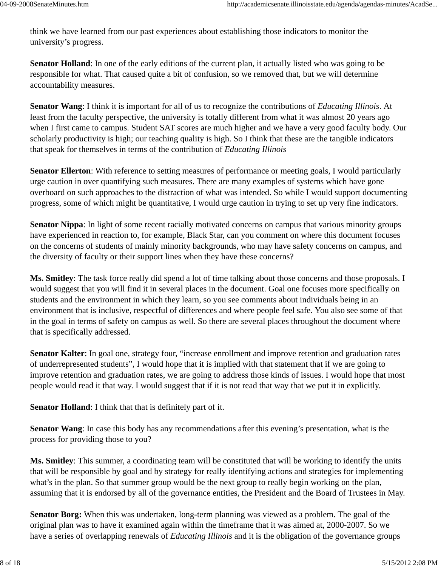think we have learned from our past experiences about establishing those indicators to monitor the university's progress.

**Senator Holland**: In one of the early editions of the current plan, it actually listed who was going to be responsible for what. That caused quite a bit of confusion, so we removed that, but we will determine accountability measures.

**Senator Wang**: I think it is important for all of us to recognize the contributions of *Educating Illinois*. At least from the faculty perspective, the university is totally different from what it was almost 20 years ago when I first came to campus. Student SAT scores are much higher and we have a very good faculty body. Our scholarly productivity is high; our teaching quality is high. So I think that these are the tangible indicators that speak for themselves in terms of the contribution of *Educating Illinois*

**Senator Ellerton**: With reference to setting measures of performance or meeting goals, I would particularly urge caution in over quantifying such measures. There are many examples of systems which have gone overboard on such approaches to the distraction of what was intended. So while I would support documenting progress, some of which might be quantitative, I would urge caution in trying to set up very fine indicators.

**Senator Nippa**: In light of some recent racially motivated concerns on campus that various minority groups have experienced in reaction to, for example, Black Star, can you comment on where this document focuses on the concerns of students of mainly minority backgrounds, who may have safety concerns on campus, and the diversity of faculty or their support lines when they have these concerns?

**Ms. Smitley**: The task force really did spend a lot of time talking about those concerns and those proposals. I would suggest that you will find it in several places in the document. Goal one focuses more specifically on students and the environment in which they learn, so you see comments about individuals being in an environment that is inclusive, respectful of differences and where people feel safe. You also see some of that in the goal in terms of safety on campus as well. So there are several places throughout the document where that is specifically addressed.

**Senator Kalter**: In goal one, strategy four, "increase enrollment and improve retention and graduation rates of underrepresented students", I would hope that it is implied with that statement that if we are going to improve retention and graduation rates, we are going to address those kinds of issues. I would hope that most people would read it that way. I would suggest that if it is not read that way that we put it in explicitly.

**Senator Holland**: I think that that is definitely part of it.

**Senator Wang**: In case this body has any recommendations after this evening's presentation, what is the process for providing those to you?

**Ms. Smitley**: This summer, a coordinating team will be constituted that will be working to identify the units that will be responsible by goal and by strategy for really identifying actions and strategies for implementing what's in the plan. So that summer group would be the next group to really begin working on the plan, assuming that it is endorsed by all of the governance entities, the President and the Board of Trustees in May.

**Senator Borg:** When this was undertaken, long-term planning was viewed as a problem. The goal of the original plan was to have it examined again within the timeframe that it was aimed at, 2000-2007. So we have a series of overlapping renewals of *Educating Illinois* and it is the obligation of the governance groups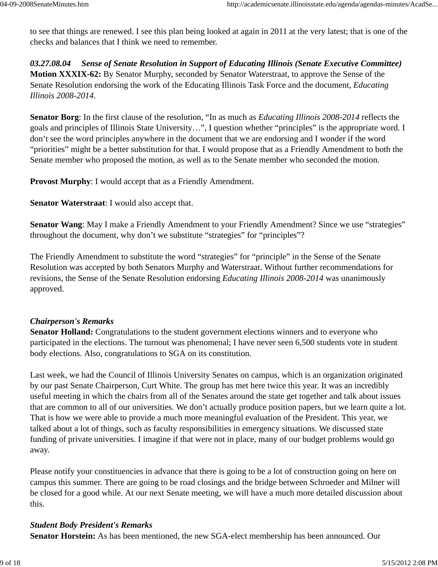to see that things are renewed. I see this plan being looked at again in 2011 at the very latest; that is one of the checks and balances that I think we need to remember.

*03.27.08.04 Sense of Senate Resolution in Support of Educating Illinois (Senate Executive Committee)* **Motion XXXIX-62:** By Senator Murphy, seconded by Senator Waterstraat, to approve the Sense of the Senate Resolution endorsing the work of the Educating Illinois Task Force and the document, *Educating Illinois 2008-2014*.

**Senator Borg**: In the first clause of the resolution, "In as much as *Educating Illinois 2008-2014* reflects the goals and principles of Illinois State University…", I question whether "principles" is the appropriate word. I don't see the word principles anywhere in the document that we are endorsing and I wonder if the word "priorities" might be a better substitution for that. I would propose that as a Friendly Amendment to both the Senate member who proposed the motion, as well as to the Senate member who seconded the motion.

**Provost Murphy**: I would accept that as a Friendly Amendment.

**Senator Waterstraat**: I would also accept that.

**Senator Wang**: May I make a Friendly Amendment to your Friendly Amendment? Since we use "strategies" throughout the document, why don't we substitute "strategies" for "principles"?

The Friendly Amendment to substitute the word "strategies" for "principle" in the Sense of the Senate Resolution was accepted by both Senators Murphy and Waterstraat. Without further recommendations for revisions, the Sense of the Senate Resolution endorsing *Educating Illinois 2008-2014* was unanimously approved.

# *Chairperson's Remarks*

**Senator Holland:** Congratulations to the student government elections winners and to everyone who participated in the elections. The turnout was phenomenal; I have never seen 6,500 students vote in student body elections. Also, congratulations to SGA on its constitution.

Last week, we had the Council of Illinois University Senates on campus, which is an organization originated by our past Senate Chairperson, Curt White. The group has met here twice this year. It was an incredibly useful meeting in which the chairs from all of the Senates around the state get together and talk about issues that are common to all of our universities. We don't actually produce position papers, but we learn quite a lot. That is how we were able to provide a much more meaningful evaluation of the President. This year, we talked about a lot of things, such as faculty responsibilities in emergency situations. We discussed state funding of private universities. I imagine if that were not in place, many of our budget problems would go away.

Please notify your constituencies in advance that there is going to be a lot of construction going on here on campus this summer. There are going to be road closings and the bridge between Schroeder and Milner will be closed for a good while. At our next Senate meeting, we will have a much more detailed discussion about this.

#### *Student Body President's Remarks*

**Senator Horstein:** As has been mentioned, the new SGA-elect membership has been announced. Our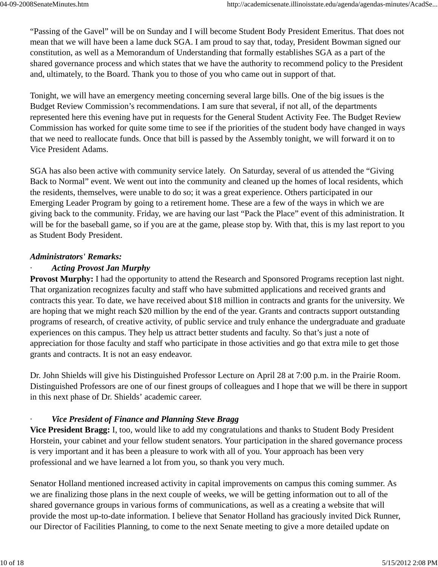"Passing of the Gavel" will be on Sunday and I will become Student Body President Emeritus. That does not mean that we will have been a lame duck SGA. I am proud to say that, today, President Bowman signed our constitution, as well as a Memorandum of Understanding that formally establishes SGA as a part of the shared governance process and which states that we have the authority to recommend policy to the President and, ultimately, to the Board. Thank you to those of you who came out in support of that.

Tonight, we will have an emergency meeting concerning several large bills. One of the big issues is the Budget Review Commission's recommendations. I am sure that several, if not all, of the departments represented here this evening have put in requests for the General Student Activity Fee. The Budget Review Commission has worked for quite some time to see if the priorities of the student body have changed in ways that we need to reallocate funds. Once that bill is passed by the Assembly tonight, we will forward it on to Vice President Adams.

SGA has also been active with community service lately. On Saturday, several of us attended the "Giving Back to Normal" event. We went out into the community and cleaned up the homes of local residents, which the residents, themselves, were unable to do so; it was a great experience. Others participated in our Emerging Leader Program by going to a retirement home. These are a few of the ways in which we are giving back to the community. Friday, we are having our last "Pack the Place" event of this administration. It will be for the baseball game, so if you are at the game, please stop by. With that, this is my last report to you as Student Body President.

# *Administrators' Remarks:*

# · *Acting Provost Jan Murphy*

**Provost Murphy:** I had the opportunity to attend the Research and Sponsored Programs reception last night. That organization recognizes faculty and staff who have submitted applications and received grants and contracts this year. To date, we have received about \$18 million in contracts and grants for the university. We are hoping that we might reach \$20 million by the end of the year. Grants and contracts support outstanding programs of research, of creative activity, of public service and truly enhance the undergraduate and graduate experiences on this campus. They help us attract better students and faculty. So that's just a note of appreciation for those faculty and staff who participate in those activities and go that extra mile to get those grants and contracts. It is not an easy endeavor.

Dr. John Shields will give his Distinguished Professor Lecture on April 28 at 7:00 p.m. in the Prairie Room. Distinguished Professors are one of our finest groups of colleagues and I hope that we will be there in support in this next phase of Dr. Shields' academic career.

# *Vice President of Finance and Planning Steve Bragg*

**Vice President Bragg:** I, too, would like to add my congratulations and thanks to Student Body President Horstein, your cabinet and your fellow student senators. Your participation in the shared governance process is very important and it has been a pleasure to work with all of you. Your approach has been very professional and we have learned a lot from you, so thank you very much.

Senator Holland mentioned increased activity in capital improvements on campus this coming summer. As we are finalizing those plans in the next couple of weeks, we will be getting information out to all of the shared governance groups in various forms of communications, as well as a creating a website that will provide the most up-to-date information. I believe that Senator Holland has graciously invited Dick Runner, our Director of Facilities Planning, to come to the next Senate meeting to give a more detailed update on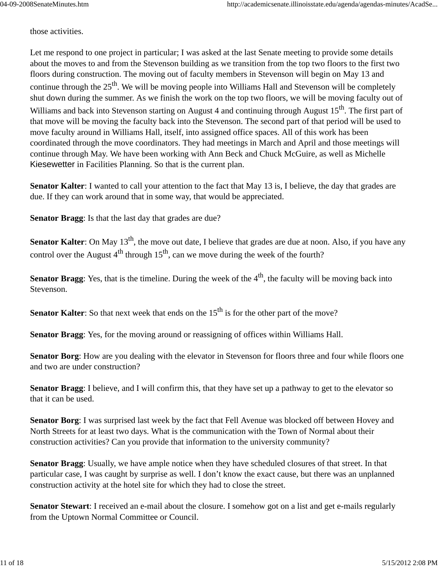those activities.

Let me respond to one project in particular; I was asked at the last Senate meeting to provide some details about the moves to and from the Stevenson building as we transition from the top two floors to the first two floors during construction. The moving out of faculty members in Stevenson will begin on May 13 and continue through the 25<sup>th</sup>. We will be moving people into Williams Hall and Stevenson will be completely shut down during the summer. As we finish the work on the top two floors, we will be moving faculty out of Williams and back into Stevenson starting on August 4 and continuing through August 15<sup>th</sup>. The first part of that move will be moving the faculty back into the Stevenson. The second part of that period will be used to move faculty around in Williams Hall, itself, into assigned office spaces. All of this work has been coordinated through the move coordinators. They had meetings in March and April and those meetings will continue through May. We have been working with Ann Beck and Chuck McGuire, as well as Michelle Kiesewetter in Facilities Planning. So that is the current plan.

**Senator Kalter**: I wanted to call your attention to the fact that May 13 is, I believe, the day that grades are due. If they can work around that in some way, that would be appreciated.

**Senator Bragg**: Is that the last day that grades are due?

**Senator Kalter**: On May 13<sup>th</sup>, the move out date, I believe that grades are due at noon. Also, if you have any control over the August  $4<sup>th</sup>$  through  $15<sup>th</sup>$ , can we move during the week of the fourth?

**Senator Bragg**: Yes, that is the timeline. During the week of the  $4<sup>th</sup>$ , the faculty will be moving back into Stevenson.

**Senator Kalter**: So that next week that ends on the 15<sup>th</sup> is for the other part of the move?

**Senator Bragg**: Yes, for the moving around or reassigning of offices within Williams Hall.

**Senator Borg**: How are you dealing with the elevator in Stevenson for floors three and four while floors one and two are under construction?

**Senator Bragg**: I believe, and I will confirm this, that they have set up a pathway to get to the elevator so that it can be used.

**Senator Borg**: I was surprised last week by the fact that Fell Avenue was blocked off between Hovey and North Streets for at least two days. What is the communication with the Town of Normal about their construction activities? Can you provide that information to the university community?

**Senator Bragg**: Usually, we have ample notice when they have scheduled closures of that street. In that particular case, I was caught by surprise as well. I don't know the exact cause, but there was an unplanned construction activity at the hotel site for which they had to close the street.

**Senator Stewart**: I received an e-mail about the closure. I somehow got on a list and get e-mails regularly from the Uptown Normal Committee or Council.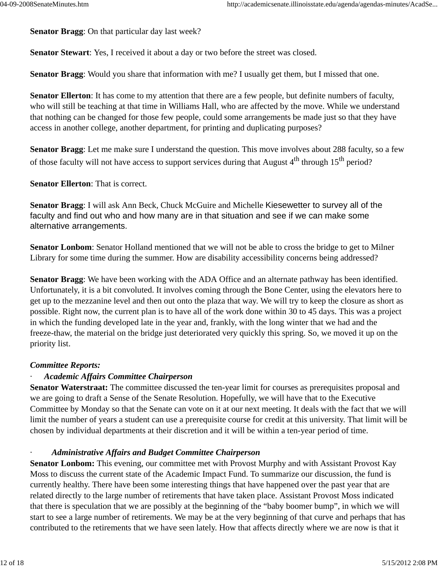**Senator Bragg**: On that particular day last week?

**Senator Stewart**: Yes, I received it about a day or two before the street was closed.

**Senator Bragg**: Would you share that information with me? I usually get them, but I missed that one.

**Senator Ellerton**: It has come to my attention that there are a few people, but definite numbers of faculty, who will still be teaching at that time in Williams Hall, who are affected by the move. While we understand that nothing can be changed for those few people, could some arrangements be made just so that they have access in another college, another department, for printing and duplicating purposes?

**Senator Bragg**: Let me make sure I understand the question. This move involves about 288 faculty, so a few of those faculty will not have access to support services during that August  $4<sup>th</sup>$  through  $15<sup>th</sup>$  period?

**Senator Ellerton**: That is correct.

**Senator Bragg**: I will ask Ann Beck, Chuck McGuire and Michelle Kiesewetter to survey all of the faculty and find out who and how many are in that situation and see if we can make some alternative arrangements.

**Senator Lonbom**: Senator Holland mentioned that we will not be able to cross the bridge to get to Milner Library for some time during the summer. How are disability accessibility concerns being addressed?

**Senator Bragg**: We have been working with the ADA Office and an alternate pathway has been identified. Unfortunately, it is a bit convoluted. It involves coming through the Bone Center, using the elevators here to get up to the mezzanine level and then out onto the plaza that way. We will try to keep the closure as short as possible. Right now, the current plan is to have all of the work done within 30 to 45 days. This was a project in which the funding developed late in the year and, frankly, with the long winter that we had and the freeze-thaw, the material on the bridge just deteriorated very quickly this spring. So, we moved it up on the priority list.

#### *Committee Reports:*

#### · *Academic Affairs Committee Chairperson*

**Senator Waterstraat:** The committee discussed the ten-year limit for courses as prerequisites proposal and we are going to draft a Sense of the Senate Resolution. Hopefully, we will have that to the Executive Committee by Monday so that the Senate can vote on it at our next meeting. It deals with the fact that we will limit the number of years a student can use a prerequisite course for credit at this university. That limit will be chosen by individual departments at their discretion and it will be within a ten-year period of time.

#### · *Administrative Affairs and Budget Committee Chairperson*

**Senator Lonbom:** This evening, our committee met with Provost Murphy and with Assistant Provost Kay Moss to discuss the current state of the Academic Impact Fund. To summarize our discussion, the fund is currently healthy. There have been some interesting things that have happened over the past year that are related directly to the large number of retirements that have taken place. Assistant Provost Moss indicated that there is speculation that we are possibly at the beginning of the "baby boomer bump", in which we will start to see a large number of retirements. We may be at the very beginning of that curve and perhaps that has contributed to the retirements that we have seen lately. How that affects directly where we are now is that it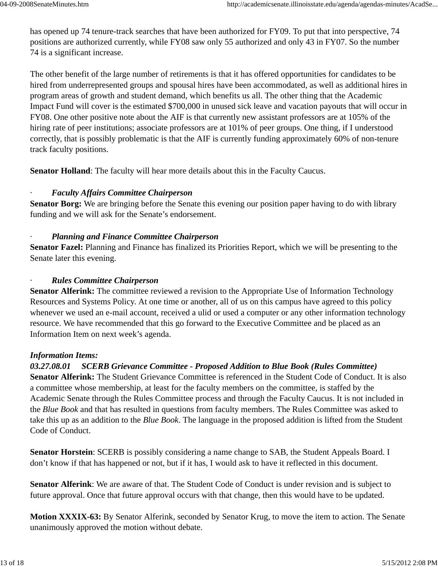has opened up 74 tenure-track searches that have been authorized for FY09. To put that into perspective, 74 positions are authorized currently, while FY08 saw only 55 authorized and only 43 in FY07. So the number 74 is a significant increase.

The other benefit of the large number of retirements is that it has offered opportunities for candidates to be hired from underrepresented groups and spousal hires have been accommodated, as well as additional hires in program areas of growth and student demand, which benefits us all. The other thing that the Academic Impact Fund will cover is the estimated \$700,000 in unused sick leave and vacation payouts that will occur in FY08. One other positive note about the AIF is that currently new assistant professors are at 105% of the hiring rate of peer institutions; associate professors are at 101% of peer groups. One thing, if I understood correctly, that is possibly problematic is that the AIF is currently funding approximately 60% of non-tenure track faculty positions.

**Senator Holland**: The faculty will hear more details about this in the Faculty Caucus.

#### · *Faculty Affairs Committee Chairperson*

**Senator Borg:** We are bringing before the Senate this evening our position paper having to do with library funding and we will ask for the Senate's endorsement.

#### · *Planning and Finance Committee Chairperson*

**Senator Fazel:** Planning and Finance has finalized its Priorities Report, which we will be presenting to the Senate later this evening.

#### · *Rules Committee Chairperson*

**Senator Alferink:** The committee reviewed a revision to the Appropriate Use of Information Technology Resources and Systems Policy. At one time or another, all of us on this campus have agreed to this policy whenever we used an e-mail account, received a ulid or used a computer or any other information technology resource. We have recommended that this go forward to the Executive Committee and be placed as an Information Item on next week's agenda.

#### *Information Items:*

# *03.27.08.01 SCERB Grievance Committee - Proposed Addition to Blue Book (Rules Committee)*

**Senator Alferink:** The Student Grievance Committee is referenced in the Student Code of Conduct. It is also a committee whose membership, at least for the faculty members on the committee, is staffed by the Academic Senate through the Rules Committee process and through the Faculty Caucus. It is not included in the *Blue Book* and that has resulted in questions from faculty members. The Rules Committee was asked to take this up as an addition to the *Blue Book*. The language in the proposed addition is lifted from the Student Code of Conduct.

**Senator Horstein**: SCERB is possibly considering a name change to SAB, the Student Appeals Board. I don't know if that has happened or not, but if it has, I would ask to have it reflected in this document.

**Senator Alferink**: We are aware of that. The Student Code of Conduct is under revision and is subject to future approval. Once that future approval occurs with that change, then this would have to be updated.

**Motion XXXIX-63:** By Senator Alferink, seconded by Senator Krug, to move the item to action. The Senate unanimously approved the motion without debate.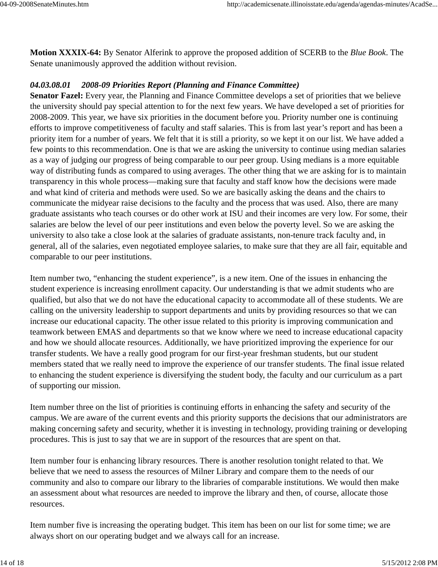**Motion XXXIX-64:** By Senator Alferink to approve the proposed addition of SCERB to the *Blue Book*. The Senate unanimously approved the addition without revision.

# *04.03.08.01 2008-09 Priorities Report (Planning and Finance Committee)*

**Senator Fazel:** Every year, the Planning and Finance Committee develops a set of priorities that we believe the university should pay special attention to for the next few years. We have developed a set of priorities for 2008-2009. This year, we have six priorities in the document before you. Priority number one is continuing efforts to improve competitiveness of faculty and staff salaries. This is from last year's report and has been a priority item for a number of years. We felt that it is still a priority, so we kept it on our list. We have added a few points to this recommendation. One is that we are asking the university to continue using median salaries as a way of judging our progress of being comparable to our peer group. Using medians is a more equitable way of distributing funds as compared to using averages. The other thing that we are asking for is to maintain transparency in this whole process—making sure that faculty and staff know how the decisions were made and what kind of criteria and methods were used. So we are basically asking the deans and the chairs to communicate the midyear raise decisions to the faculty and the process that was used. Also, there are many graduate assistants who teach courses or do other work at ISU and their incomes are very low. For some, their salaries are below the level of our peer institutions and even below the poverty level. So we are asking the university to also take a close look at the salaries of graduate assistants, non-tenure track faculty and, in general, all of the salaries, even negotiated employee salaries, to make sure that they are all fair, equitable and comparable to our peer institutions.

Item number two, "enhancing the student experience", is a new item. One of the issues in enhancing the student experience is increasing enrollment capacity. Our understanding is that we admit students who are qualified, but also that we do not have the educational capacity to accommodate all of these students. We are calling on the university leadership to support departments and units by providing resources so that we can increase our educational capacity. The other issue related to this priority is improving communication and teamwork between EMAS and departments so that we know where we need to increase educational capacity and how we should allocate resources. Additionally, we have prioritized improving the experience for our transfer students. We have a really good program for our first-year freshman students, but our student members stated that we really need to improve the experience of our transfer students. The final issue related to enhancing the student experience is diversifying the student body, the faculty and our curriculum as a part of supporting our mission.

Item number three on the list of priorities is continuing efforts in enhancing the safety and security of the campus. We are aware of the current events and this priority supports the decisions that our administrators are making concerning safety and security, whether it is investing in technology, providing training or developing procedures. This is just to say that we are in support of the resources that are spent on that.

Item number four is enhancing library resources. There is another resolution tonight related to that. We believe that we need to assess the resources of Milner Library and compare them to the needs of our community and also to compare our library to the libraries of comparable institutions. We would then make an assessment about what resources are needed to improve the library and then, of course, allocate those resources.

Item number five is increasing the operating budget. This item has been on our list for some time; we are always short on our operating budget and we always call for an increase.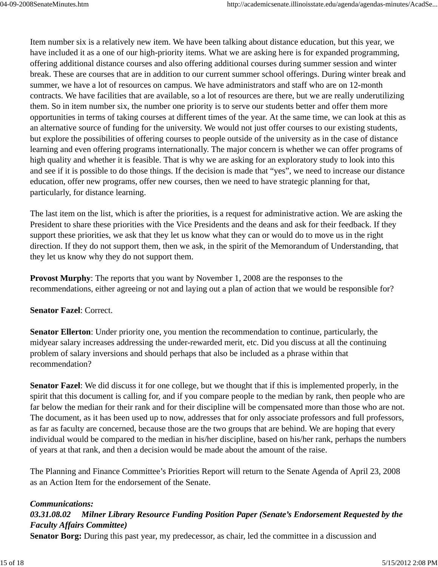Item number six is a relatively new item. We have been talking about distance education, but this year, we have included it as a one of our high-priority items. What we are asking here is for expanded programming, offering additional distance courses and also offering additional courses during summer session and winter break. These are courses that are in addition to our current summer school offerings. During winter break and summer, we have a lot of resources on campus. We have administrators and staff who are on 12-month contracts. We have facilities that are available, so a lot of resources are there, but we are really underutilizing them. So in item number six, the number one priority is to serve our students better and offer them more opportunities in terms of taking courses at different times of the year. At the same time, we can look at this as an alternative source of funding for the university. We would not just offer courses to our existing students, but explore the possibilities of offering courses to people outside of the university as in the case of distance learning and even offering programs internationally. The major concern is whether we can offer programs of high quality and whether it is feasible. That is why we are asking for an exploratory study to look into this and see if it is possible to do those things. If the decision is made that "yes", we need to increase our distance education, offer new programs, offer new courses, then we need to have strategic planning for that, particularly, for distance learning.

The last item on the list, which is after the priorities, is a request for administrative action. We are asking the President to share these priorities with the Vice Presidents and the deans and ask for their feedback. If they support these priorities, we ask that they let us know what they can or would do to move us in the right direction. If they do not support them, then we ask, in the spirit of the Memorandum of Understanding, that they let us know why they do not support them.

**Provost Murphy**: The reports that you want by November 1, 2008 are the responses to the recommendations, either agreeing or not and laying out a plan of action that we would be responsible for?

#### **Senator Fazel**: Correct.

**Senator Ellerton**: Under priority one, you mention the recommendation to continue, particularly, the midyear salary increases addressing the under-rewarded merit, etc. Did you discuss at all the continuing problem of salary inversions and should perhaps that also be included as a phrase within that recommendation?

**Senator Fazel**: We did discuss it for one college, but we thought that if this is implemented properly, in the spirit that this document is calling for, and if you compare people to the median by rank, then people who are far below the median for their rank and for their discipline will be compensated more than those who are not. The document, as it has been used up to now, addresses that for only associate professors and full professors, as far as faculty are concerned, because those are the two groups that are behind. We are hoping that every individual would be compared to the median in his/her discipline, based on his/her rank, perhaps the numbers of years at that rank, and then a decision would be made about the amount of the raise.

The Planning and Finance Committee's Priorities Report will return to the Senate Agenda of April 23, 2008 as an Action Item for the endorsement of the Senate.

#### *Communications:*

# *03.31.08.02 Milner Library Resource Funding Position Paper (Senate's Endorsement Requested by the Faculty Affairs Committee)*

**Senator Borg:** During this past year, my predecessor, as chair, led the committee in a discussion and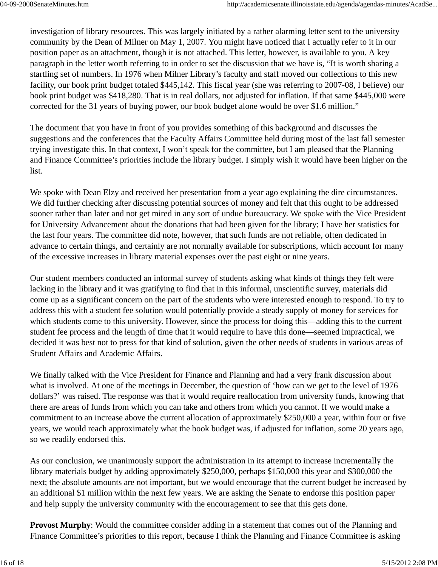investigation of library resources. This was largely initiated by a rather alarming letter sent to the university community by the Dean of Milner on May 1, 2007. You might have noticed that I actually refer to it in our position paper as an attachment, though it is not attached. This letter, however, is available to you. A key paragraph in the letter worth referring to in order to set the discussion that we have is, "It is worth sharing a startling set of numbers. In 1976 when Milner Library's faculty and staff moved our collections to this new facility, our book print budget totaled \$445,142. This fiscal year (she was referring to 2007-08, I believe) our book print budget was \$418,280. That is in real dollars, not adjusted for inflation. If that same \$445,000 were corrected for the 31 years of buying power, our book budget alone would be over \$1.6 million."

The document that you have in front of you provides something of this background and discusses the suggestions and the conferences that the Faculty Affairs Committee held during most of the last fall semester trying investigate this. In that context, I won't speak for the committee, but I am pleased that the Planning and Finance Committee's priorities include the library budget. I simply wish it would have been higher on the list.

We spoke with Dean Elzy and received her presentation from a year ago explaining the dire circumstances. We did further checking after discussing potential sources of money and felt that this ought to be addressed sooner rather than later and not get mired in any sort of undue bureaucracy. We spoke with the Vice President for University Advancement about the donations that had been given for the library; I have her statistics for the last four years. The committee did note, however, that such funds are not reliable, often dedicated in advance to certain things, and certainly are not normally available for subscriptions, which account for many of the excessive increases in library material expenses over the past eight or nine years.

Our student members conducted an informal survey of students asking what kinds of things they felt were lacking in the library and it was gratifying to find that in this informal, unscientific survey, materials did come up as a significant concern on the part of the students who were interested enough to respond. To try to address this with a student fee solution would potentially provide a steady supply of money for services for which students come to this university. However, since the process for doing this—adding this to the current student fee process and the length of time that it would require to have this done—seemed impractical, we decided it was best not to press for that kind of solution, given the other needs of students in various areas of Student Affairs and Academic Affairs.

We finally talked with the Vice President for Finance and Planning and had a very frank discussion about what is involved. At one of the meetings in December, the question of 'how can we get to the level of 1976 dollars?' was raised. The response was that it would require reallocation from university funds, knowing that there are areas of funds from which you can take and others from which you cannot. If we would make a commitment to an increase above the current allocation of approximately \$250,000 a year, within four or five years, we would reach approximately what the book budget was, if adjusted for inflation, some 20 years ago, so we readily endorsed this.

As our conclusion, we unanimously support the administration in its attempt to increase incrementally the library materials budget by adding approximately \$250,000, perhaps \$150,000 this year and \$300,000 the next; the absolute amounts are not important, but we would encourage that the current budget be increased by an additional \$1 million within the next few years. We are asking the Senate to endorse this position paper and help supply the university community with the encouragement to see that this gets done.

**Provost Murphy**: Would the committee consider adding in a statement that comes out of the Planning and Finance Committee's priorities to this report, because I think the Planning and Finance Committee is asking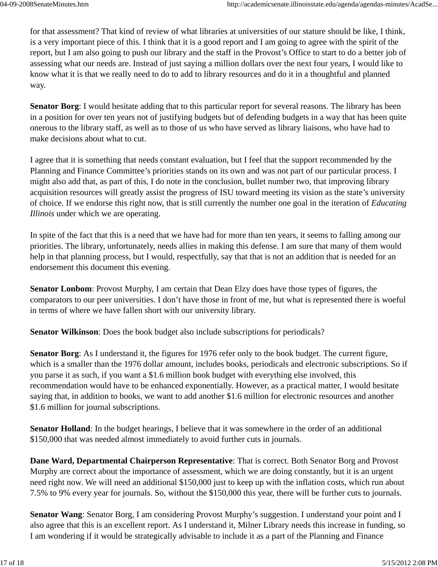for that assessment? That kind of review of what libraries at universities of our stature should be like, I think, is a very important piece of this. I think that it is a good report and I am going to agree with the spirit of the report, but I am also going to push our library and the staff in the Provost's Office to start to do a better job of assessing what our needs are. Instead of just saying a million dollars over the next four years, I would like to know what it is that we really need to do to add to library resources and do it in a thoughtful and planned way.

**Senator Borg**: I would hesitate adding that to this particular report for several reasons. The library has been in a position for over ten years not of justifying budgets but of defending budgets in a way that has been quite onerous to the library staff, as well as to those of us who have served as library liaisons, who have had to make decisions about what to cut.

I agree that it is something that needs constant evaluation, but I feel that the support recommended by the Planning and Finance Committee's priorities stands on its own and was not part of our particular process. I might also add that, as part of this, I do note in the conclusion, bullet number two, that improving library acquisition resources will greatly assist the progress of ISU toward meeting its vision as the state's university of choice. If we endorse this right now, that is still currently the number one goal in the iteration of *Educating Illinois* under which we are operating.

In spite of the fact that this is a need that we have had for more than ten years, it seems to falling among our priorities. The library, unfortunately, needs allies in making this defense. I am sure that many of them would help in that planning process, but I would, respectfully, say that that is not an addition that is needed for an endorsement this document this evening.

**Senator Lonbom**: Provost Murphy, I am certain that Dean Elzy does have those types of figures, the comparators to our peer universities. I don't have those in front of me, but what is represented there is woeful in terms of where we have fallen short with our university library.

**Senator Wilkinson**: Does the book budget also include subscriptions for periodicals?

**Senator Borg**: As I understand it, the figures for 1976 refer only to the book budget. The current figure, which is a smaller than the 1976 dollar amount, includes books, periodicals and electronic subscriptions. So if you parse it as such, if you want a \$1.6 million book budget with everything else involved, this recommendation would have to be enhanced exponentially. However, as a practical matter, I would hesitate saying that, in addition to books, we want to add another \$1.6 million for electronic resources and another \$1.6 million for journal subscriptions.

**Senator Holland**: In the budget hearings, I believe that it was somewhere in the order of an additional \$150,000 that was needed almost immediately to avoid further cuts in journals.

**Dane Ward, Departmental Chairperson Representative**: That is correct. Both Senator Borg and Provost Murphy are correct about the importance of assessment, which we are doing constantly, but it is an urgent need right now. We will need an additional \$150,000 just to keep up with the inflation costs, which run about 7.5% to 9% every year for journals. So, without the \$150,000 this year, there will be further cuts to journals.

**Senator Wang**: Senator Borg, I am considering Provost Murphy's suggestion. I understand your point and I also agree that this is an excellent report. As I understand it, Milner Library needs this increase in funding, so I am wondering if it would be strategically advisable to include it as a part of the Planning and Finance